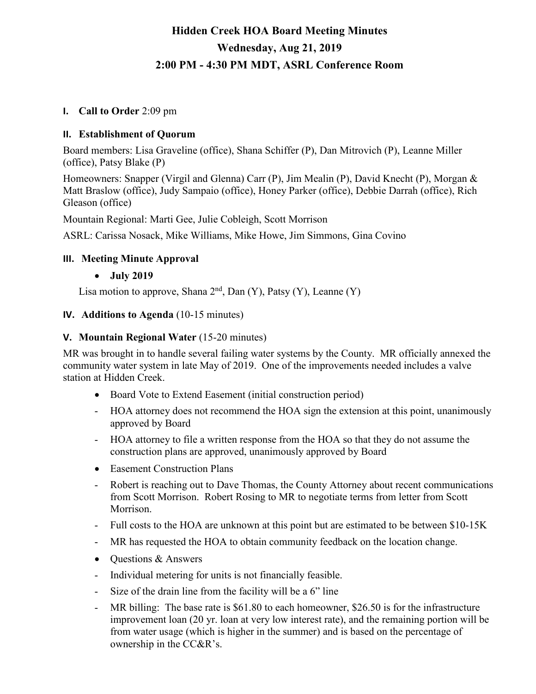# **Hidden Creek HOA Board Meeting Minutes Wednesday, Aug 21, 2019 2:00 PM - 4:30 PM MDT, ASRL Conference Room**

#### **I. Call to Order** 2:09 pm

#### **II. Establishment of Quorum**

Board members: Lisa Graveline (office), Shana Schiffer (P), Dan Mitrovich (P), Leanne Miller (office), Patsy Blake (P)

Homeowners: Snapper (Virgil and Glenna) Carr (P), Jim Mealin (P), David Knecht (P), Morgan & Matt Braslow (office), Judy Sampaio (office), Honey Parker (office), Debbie Darrah (office), Rich Gleason (office)

Mountain Regional: Marti Gee, Julie Cobleigh, Scott Morrison

ASRL: Carissa Nosack, Mike Williams, Mike Howe, Jim Simmons, Gina Covino

#### **III. Meeting Minute Approval**

• **July 2019**

Lisa motion to approve, Shana  $2<sup>nd</sup>$ , Dan (Y), Patsy (Y), Leanne (Y)

#### **IV. Additions to Agenda** (10-15 minutes)

#### **V. Mountain Regional Water** (15-20 minutes)

MR was brought in to handle several failing water systems by the County. MR officially annexed the community water system in late May of 2019. One of the improvements needed includes a valve station at Hidden Creek.

- Board Vote to Extend Easement (initial construction period)
- HOA attorney does not recommend the HOA sign the extension at this point, unanimously approved by Board
- HOA attorney to file a written response from the HOA so that they do not assume the construction plans are approved, unanimously approved by Board
- Easement Construction Plans
- Robert is reaching out to Dave Thomas, the County Attorney about recent communications from Scott Morrison. Robert Rosing to MR to negotiate terms from letter from Scott Morrison.
- Full costs to the HOA are unknown at this point but are estimated to be between \$10-15K
- MR has requested the HOA to obtain community feedback on the location change.
- Questions & Answers
- Individual metering for units is not financially feasible.
- Size of the drain line from the facility will be a 6" line
- MR billing: The base rate is \$61.80 to each homeowner, \$26.50 is for the infrastructure improvement loan (20 yr. loan at very low interest rate), and the remaining portion will be from water usage (which is higher in the summer) and is based on the percentage of ownership in the CC&R's.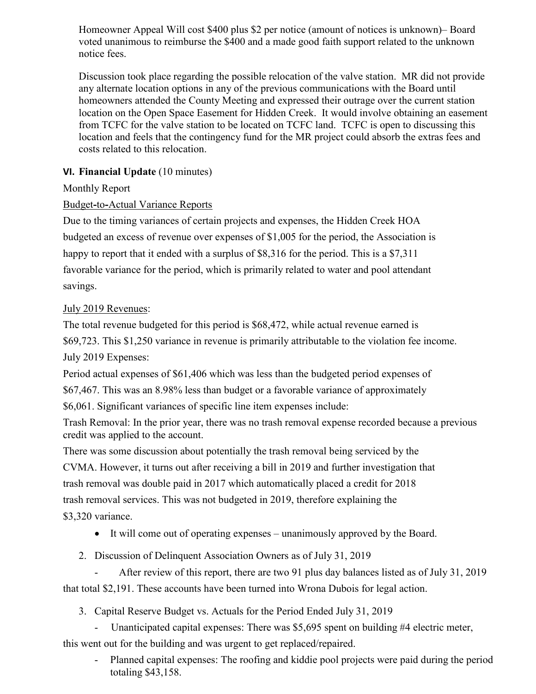Homeowner Appeal Will cost \$400 plus \$2 per notice (amount of notices is unknown)– Board voted unanimous to reimburse the \$400 and a made good faith support related to the unknown notice fees.

Discussion took place regarding the possible relocation of the valve station. MR did not provide any alternate location options in any of the previous communications with the Board until homeowners attended the County Meeting and expressed their outrage over the current station location on the Open Space Easement for Hidden Creek. It would involve obtaining an easement from TCFC for the valve station to be located on TCFC land. TCFC is open to discussing this location and feels that the contingency fund for the MR project could absorb the extras fees and costs related to this relocation.

## **VI. Financial Update** (10 minutes)

#### Monthly Report

### Budget**-**to**-**Actual Variance Reports

Due to the timing variances of certain projects and expenses, the Hidden Creek HOA budgeted an excess of revenue over expenses of \$1,005 for the period, the Association is happy to report that it ended with a surplus of \$8,316 for the period. This is a \$7,311 favorable variance for the period, which is primarily related to water and pool attendant savings.

#### July 2019 Revenues:

The total revenue budgeted for this period is \$68,472, while actual revenue earned is \$69,723. This \$1,250 variance in revenue is primarily attributable to the violation fee income. July 2019 Expenses:

Period actual expenses of \$61,406 which was less than the budgeted period expenses of

\$67,467. This was an 8.98% less than budget or a favorable variance of approximately

\$6,061. Significant variances of specific line item expenses include:

Trash Removal: In the prior year, there was no trash removal expense recorded because a previous credit was applied to the account.

There was some discussion about potentially the trash removal being serviced by the CVMA. However, it turns out after receiving a bill in 2019 and further investigation that trash removal was double paid in 2017 which automatically placed a credit for 2018 trash removal services. This was not budgeted in 2019, therefore explaining the \$3,320 variance.

- It will come out of operating expenses unanimously approved by the Board.
- 2. Discussion of Delinquent Association Owners as of July 31, 2019

After review of this report, there are two 91 plus day balances listed as of July 31, 2019 that total \$2,191. These accounts have been turned into Wrona Dubois for legal action.

3. Capital Reserve Budget vs. Actuals for the Period Ended July 31, 2019

- Unanticipated capital expenses: There was \$5,695 spent on building #4 electric meter, this went out for the building and was urgent to get replaced/repaired.

Planned capital expenses: The roofing and kiddie pool projects were paid during the period totaling \$43,158.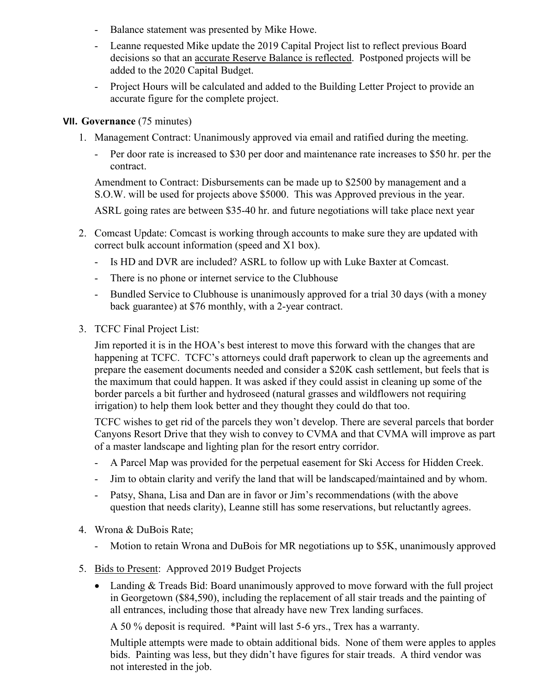- Balance statement was presented by Mike Howe.
- Leanne requested Mike update the 2019 Capital Project list to reflect previous Board decisions so that an accurate Reserve Balance is reflected. Postponed projects will be added to the 2020 Capital Budget.
- Project Hours will be calculated and added to the Building Letter Project to provide an accurate figure for the complete project.

#### **VII. Governance** (75 minutes)

- 1. Management Contract: Unanimously approved via email and ratified during the meeting.
	- Per door rate is increased to \$30 per door and maintenance rate increases to \$50 hr. per the contract.

Amendment to Contract: Disbursements can be made up to \$2500 by management and a S.O.W. will be used for projects above \$5000. This was Approved previous in the year.

ASRL going rates are between \$35-40 hr. and future negotiations will take place next year

- 2. Comcast Update: Comcast is working through accounts to make sure they are updated with correct bulk account information (speed and X1 box).
	- Is HD and DVR are included? ASRL to follow up with Luke Baxter at Comcast.
	- There is no phone or internet service to the Clubhouse
	- Bundled Service to Clubhouse is unanimously approved for a trial 30 days (with a money back guarantee) at \$76 monthly, with a 2-year contract.
- 3. TCFC Final Project List:

Jim reported it is in the HOA's best interest to move this forward with the changes that are happening at TCFC. TCFC's attorneys could draft paperwork to clean up the agreements and prepare the easement documents needed and consider a \$20K cash settlement, but feels that is the maximum that could happen. It was asked if they could assist in cleaning up some of the border parcels a bit further and hydroseed (natural grasses and wildflowers not requiring irrigation) to help them look better and they thought they could do that too.

TCFC wishes to get rid of the parcels they won't develop. There are several parcels that border Canyons Resort Drive that they wish to convey to CVMA and that CVMA will improve as part of a master landscape and lighting plan for the resort entry corridor.

- A Parcel Map was provided for the perpetual easement for Ski Access for Hidden Creek.
- Jim to obtain clarity and verify the land that will be landscaped/maintained and by whom.
- Patsy, Shana, Lisa and Dan are in favor or Jim's recommendations (with the above question that needs clarity), Leanne still has some reservations, but reluctantly agrees.
- 4. Wrona & DuBois Rate;
	- Motion to retain Wrona and DuBois for MR negotiations up to \$5K, unanimously approved
- 5. Bids to Present: Approved 2019 Budget Projects
	- Landing & Treads Bid: Board unanimously approved to move forward with the full project in Georgetown (\$84,590), including the replacement of all stair treads and the painting of all entrances, including those that already have new Trex landing surfaces.

A 50 % deposit is required. \*Paint will last 5-6 yrs., Trex has a warranty.

Multiple attempts were made to obtain additional bids. None of them were apples to apples bids. Painting was less, but they didn't have figures for stair treads. A third vendor was not interested in the job.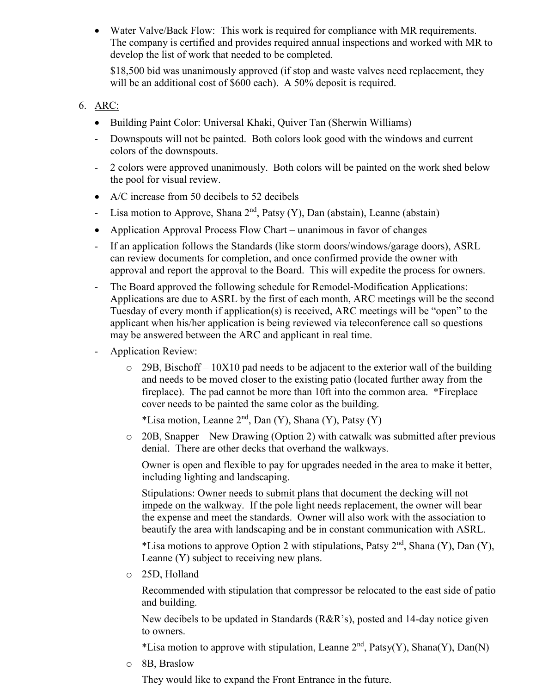• Water Valve/Back Flow: This work is required for compliance with MR requirements. The company is certified and provides required annual inspections and worked with MR to develop the list of work that needed to be completed.

\$18,500 bid was unanimously approved (if stop and waste valves need replacement, they will be an additional cost of \$600 each). A 50% deposit is required.

#### 6. ARC:

- Building Paint Color: Universal Khaki, Quiver Tan (Sherwin Williams)
- Downspouts will not be painted. Both colors look good with the windows and current colors of the downspouts.
- 2 colors were approved unanimously. Both colors will be painted on the work shed below the pool for visual review.
- A/C increase from 50 decibels to 52 decibels
- Lisa motion to Approve, Shana  $2<sup>nd</sup>$ , Patsy (Y), Dan (abstain), Leanne (abstain)
- Application Approval Process Flow Chart unanimous in favor of changes
- If an application follows the Standards (like storm doors/windows/garage doors), ASRL can review documents for completion, and once confirmed provide the owner with approval and report the approval to the Board. This will expedite the process for owners.
- The Board approved the following schedule for Remodel-Modification Applications: Applications are due to ASRL by the first of each month, ARC meetings will be the second Tuesday of every month if application(s) is received, ARC meetings will be "open" to the applicant when his/her application is being reviewed via teleconference call so questions may be answered between the ARC and applicant in real time.
- Application Review:
	- $\circ$  29B, Bischoff 10X10 pad needs to be adjacent to the exterior wall of the building and needs to be moved closer to the existing patio (located further away from the fireplace). The pad cannot be more than 10ft into the common area. \*Fireplace cover needs to be painted the same color as the building.

\*Lisa motion, Leanne  $2<sup>nd</sup>$ , Dan (Y), Shana (Y), Patsy (Y)

o 20B, Snapper – New Drawing (Option 2) with catwalk was submitted after previous denial. There are other decks that overhand the walkways.

Owner is open and flexible to pay for upgrades needed in the area to make it better, including lighting and landscaping.

Stipulations: Owner needs to submit plans that document the decking will not impede on the walkway. If the pole light needs replacement, the owner will bear the expense and meet the standards. Owner will also work with the association to beautify the area with landscaping and be in constant communication with ASRL.

\*Lisa motions to approve Option 2 with stipulations, Patsy  $2<sup>nd</sup>$ , Shana (Y), Dan (Y), Leanne (Y) subject to receiving new plans.

o 25D, Holland

Recommended with stipulation that compressor be relocated to the east side of patio and building.

New decibels to be updated in Standards (R&R's), posted and 14-day notice given to owners.

\*Lisa motion to approve with stipulation, Leanne  $2<sup>nd</sup>$ , Patsy(Y), Shana(Y), Dan(N)

o 8B, Braslow

They would like to expand the Front Entrance in the future.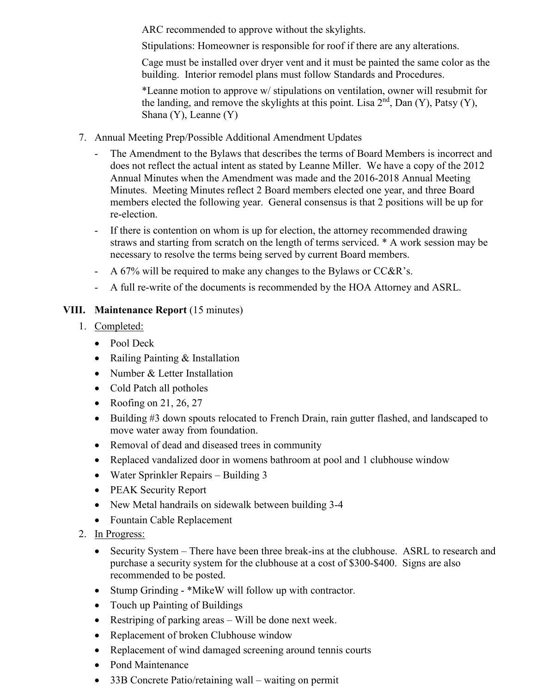ARC recommended to approve without the skylights.

Stipulations: Homeowner is responsible for roof if there are any alterations.

Cage must be installed over dryer vent and it must be painted the same color as the building. Interior remodel plans must follow Standards and Procedures.

\*Leanne motion to approve w/ stipulations on ventilation, owner will resubmit for the landing, and remove the skylights at this point. Lisa  $2<sup>nd</sup>$ , Dan (Y), Patsy (Y), Shana (Y), Leanne (Y)

- 7. Annual Meeting Prep/Possible Additional Amendment Updates
	- The Amendment to the Bylaws that describes the terms of Board Members is incorrect and does not reflect the actual intent as stated by Leanne Miller. We have a copy of the 2012 Annual Minutes when the Amendment was made and the 2016-2018 Annual Meeting Minutes. Meeting Minutes reflect 2 Board members elected one year, and three Board members elected the following year. General consensus is that 2 positions will be up for re-election.
	- If there is contention on whom is up for election, the attorney recommended drawing straws and starting from scratch on the length of terms serviced. \* A work session may be necessary to resolve the terms being served by current Board members.
	- A 67% will be required to make any changes to the Bylaws or  $CC&R$ 's.
	- A full re-write of the documents is recommended by the HOA Attorney and ASRL.

# **VIII. Maintenance Report** (15 minutes)

- 1. Completed:
	- Pool Deck
	- Railing Painting & Installation
	- Number & Letter Installation
	- Cold Patch all potholes
	- Roofing on 21, 26, 27
	- Building #3 down spouts relocated to French Drain, rain gutter flashed, and landscaped to move water away from foundation.
	- Removal of dead and diseased trees in community
	- Replaced vandalized door in womens bathroom at pool and 1 clubhouse window
	- Water Sprinkler Repairs Building 3
	- PEAK Security Report
	- New Metal handrails on sidewalk between building 3-4
	- Fountain Cable Replacement
- 2. In Progress:
	- Security System There have been three break-ins at the clubhouse. ASRL to research and purchase a security system for the clubhouse at a cost of \$300-\$400. Signs are also recommended to be posted.
	- Stump Grinding \*MikeW will follow up with contractor.
	- Touch up Painting of Buildings
	- Restriping of parking areas Will be done next week.
	- Replacement of broken Clubhouse window
	- Replacement of wind damaged screening around tennis courts
	- Pond Maintenance
	- 33B Concrete Patio/retaining wall waiting on permit